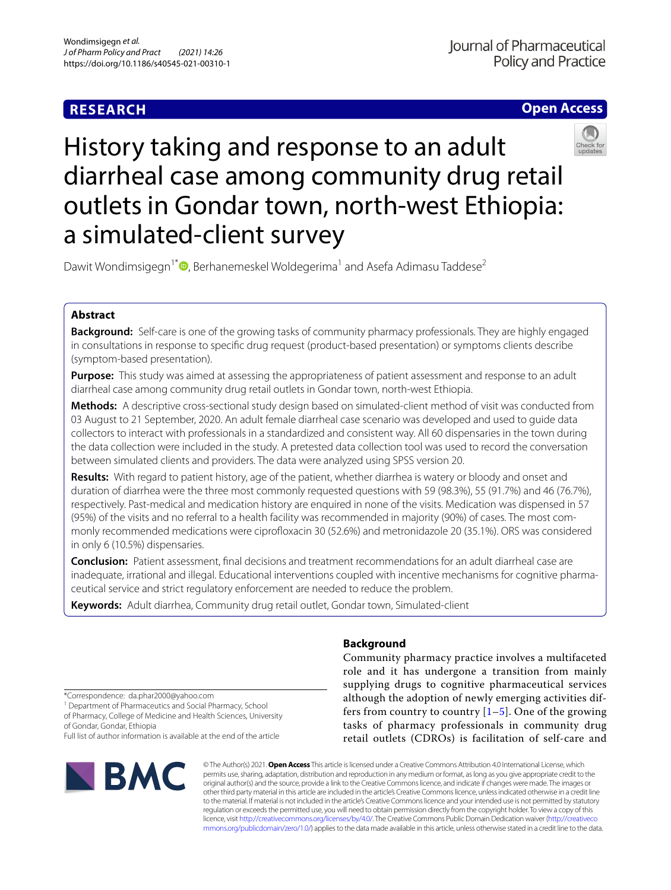# **RESEARCH**

## **Open Access**



# History taking and response to an adult diarrheal case among community drug retail outlets in Gondar town, north-west Ethiopia: a simulated-client survey

Dawit Wondimsigegn<sup>1\*</sup><sup>O</sup>[,](http://orcid.org/0000-0003-0145-0460) Berhanemeskel Woldegerima<sup>1</sup> and Asefa Adimasu Taddese<sup>2</sup>

## **Abstract**

**Background:** Self-care is one of the growing tasks of community pharmacy professionals. They are highly engaged in consultations in response to specifc drug request (product-based presentation) or symptoms clients describe (symptom-based presentation).

**Purpose:** This study was aimed at assessing the appropriateness of patient assessment and response to an adult diarrheal case among community drug retail outlets in Gondar town, north-west Ethiopia.

**Methods:** A descriptive cross-sectional study design based on simulated-client method of visit was conducted from 03 August to 21 September, 2020. An adult female diarrheal case scenario was developed and used to guide data collectors to interact with professionals in a standardized and consistent way. All 60 dispensaries in the town during the data collection were included in the study. A pretested data collection tool was used to record the conversation between simulated clients and providers. The data were analyzed using SPSS version 20.

**Results:** With regard to patient history, age of the patient, whether diarrhea is watery or bloody and onset and duration of diarrhea were the three most commonly requested questions with 59 (98.3%), 55 (91.7%) and 46 (76.7%), respectively. Past-medical and medication history are enquired in none of the visits. Medication was dispensed in 57 (95%) of the visits and no referral to a health facility was recommended in majority (90%) of cases. The most commonly recommended medications were ciprofoxacin 30 (52.6%) and metronidazole 20 (35.1%). ORS was considered in only 6 (10.5%) dispensaries.

**Conclusion:** Patient assessment, fnal decisions and treatment recommendations for an adult diarrheal case are inadequate, irrational and illegal. Educational interventions coupled with incentive mechanisms for cognitive pharmaceutical service and strict regulatory enforcement are needed to reduce the problem.

**Keywords:** Adult diarrhea, Community drug retail outlet, Gondar town, Simulated-client

## **Background**

Community pharmacy practice involves a multifaceted role and it has undergone a transition from mainly supplying drugs to cognitive pharmaceutical services although the adoption of newly emerging activities differs from country to country  $[1–5]$  $[1–5]$  $[1–5]$  $[1–5]$ . One of the growing tasks of pharmacy professionals in community drug retail outlets (CDROs) is facilitation of self-care and

\*Correspondence: da.phar2000@yahoo.com

<sup>1</sup> Department of Pharmaceutics and Social Pharmacy, School of Pharmacy, College of Medicine and Health Sciences, University of Gondar, Gondar, Ethiopia

Full list of author information is available at the end of the article



© The Author(s) 2021. **Open Access** This article is licensed under a Creative Commons Attribution 4.0 International License, which permits use, sharing, adaptation, distribution and reproduction in any medium or format, as long as you give appropriate credit to the original author(s) and the source, provide a link to the Creative Commons licence, and indicate if changes were made. The images or other third party material in this article are included in the article's Creative Commons licence, unless indicated otherwise in a credit line to the material. If material is not included in the article's Creative Commons licence and your intended use is not permitted by statutory regulation or exceeds the permitted use, you will need to obtain permission directly from the copyright holder. To view a copy of this licence, visit [http://creativecommons.org/licenses/by/4.0/.](http://creativecommons.org/licenses/by/4.0/) The Creative Commons Public Domain Dedication waiver ([http://creativeco](http://creativecommons.org/publicdomain/zero/1.0/) [mmons.org/publicdomain/zero/1.0/](http://creativecommons.org/publicdomain/zero/1.0/)) applies to the data made available in this article, unless otherwise stated in a credit line to the data.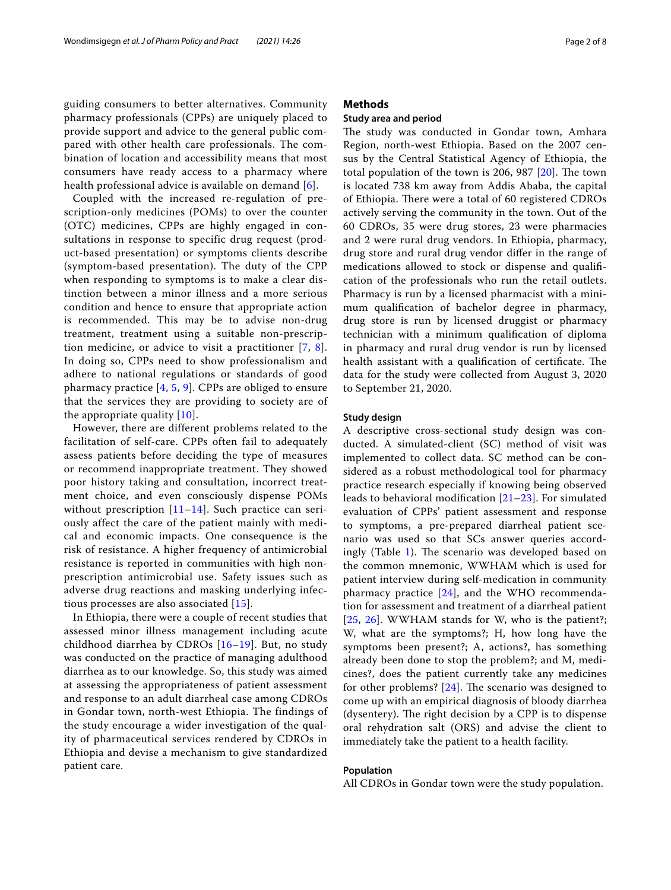guiding consumers to better alternatives. Community pharmacy professionals (CPPs) are uniquely placed to provide support and advice to the general public compared with other health care professionals. The combination of location and accessibility means that most consumers have ready access to a pharmacy where health professional advice is available on demand [\[6](#page-7-1)].

Coupled with the increased re-regulation of prescription-only medicines (POMs) to over the counter (OTC) medicines, CPPs are highly engaged in consultations in response to specific drug request (product-based presentation) or symptoms clients describe (symptom-based presentation). The duty of the CPP when responding to symptoms is to make a clear distinction between a minor illness and a more serious condition and hence to ensure that appropriate action is recommended. This may be to advise non-drug treatment, treatment using a suitable non-prescription medicine, or advice to visit a practitioner [\[7,](#page-7-2) [8\]](#page-7-3). In doing so, CPPs need to show professionalism and adhere to national regulations or standards of good pharmacy practice  $[4, 5, 9]$  $[4, 5, 9]$  $[4, 5, 9]$  $[4, 5, 9]$  $[4, 5, 9]$  $[4, 5, 9]$ . CPPs are obliged to ensure that the services they are providing to society are of the appropriate quality [\[10](#page-7-6)].

However, there are different problems related to the facilitation of self-care. CPPs often fail to adequately assess patients before deciding the type of measures or recommend inappropriate treatment. They showed poor history taking and consultation, incorrect treatment choice, and even consciously dispense POMs without prescription  $[11–14]$  $[11–14]$  $[11–14]$  $[11–14]$ . Such practice can seriously affect the care of the patient mainly with medical and economic impacts. One consequence is the risk of resistance. A higher frequency of antimicrobial resistance is reported in communities with high nonprescription antimicrobial use. Safety issues such as adverse drug reactions and masking underlying infectious processes are also associated [[15\]](#page-7-9).

In Ethiopia, there were a couple of recent studies that assessed minor illness management including acute childhood diarrhea by CDROs [[16](#page-7-10)[–19\]](#page-7-11). But, no study was conducted on the practice of managing adulthood diarrhea as to our knowledge. So, this study was aimed at assessing the appropriateness of patient assessment and response to an adult diarrheal case among CDROs in Gondar town, north-west Ethiopia. The findings of the study encourage a wider investigation of the quality of pharmaceutical services rendered by CDROs in Ethiopia and devise a mechanism to give standardized patient care.

## **Methods**

## **Study area and period**

The study was conducted in Gondar town, Amhara Region, north-west Ethiopia. Based on the 2007 census by the Central Statistical Agency of Ethiopia, the total population of the town is 206, 987  $[20]$  $[20]$ . The town is located 738 km away from Addis Ababa, the capital of Ethiopia. There were a total of 60 registered CDROs actively serving the community in the town. Out of the 60 CDROs, 35 were drug stores, 23 were pharmacies and 2 were rural drug vendors. In Ethiopia, pharmacy, drug store and rural drug vendor difer in the range of medications allowed to stock or dispense and qualifcation of the professionals who run the retail outlets. Pharmacy is run by a licensed pharmacist with a minimum qualifcation of bachelor degree in pharmacy, drug store is run by licensed druggist or pharmacy technician with a minimum qualifcation of diploma in pharmacy and rural drug vendor is run by licensed health assistant with a qualification of certificate. The data for the study were collected from August 3, 2020 to September 21, 2020.

#### **Study design**

A descriptive cross-sectional study design was conducted. A simulated-client (SC) method of visit was implemented to collect data. SC method can be considered as a robust methodological tool for pharmacy practice research especially if knowing being observed leads to behavioral modification  $[21–23]$  $[21–23]$  $[21–23]$ . For simulated evaluation of CPPs' patient assessment and response to symptoms, a pre-prepared diarrheal patient scenario was used so that SCs answer queries accord-ingly (Table [1\)](#page-2-0). The scenario was developed based on the common mnemonic, WWHAM which is used for patient interview during self-medication in community pharmacy practice [\[24](#page-7-15)], and the WHO recommendation for assessment and treatment of a diarrheal patient [[25](#page-7-16), [26](#page-7-17)]. WWHAM stands for W, who is the patient?; W, what are the symptoms?; H, how long have the symptoms been present?; A, actions?, has something already been done to stop the problem?; and M, medicines?, does the patient currently take any medicines for other problems?  $[24]$  $[24]$ . The scenario was designed to come up with an empirical diagnosis of bloody diarrhea  $(dysentery)$ . The right decision by a CPP is to dispense oral rehydration salt (ORS) and advise the client to immediately take the patient to a health facility.

#### **Population**

All CDROs in Gondar town were the study population.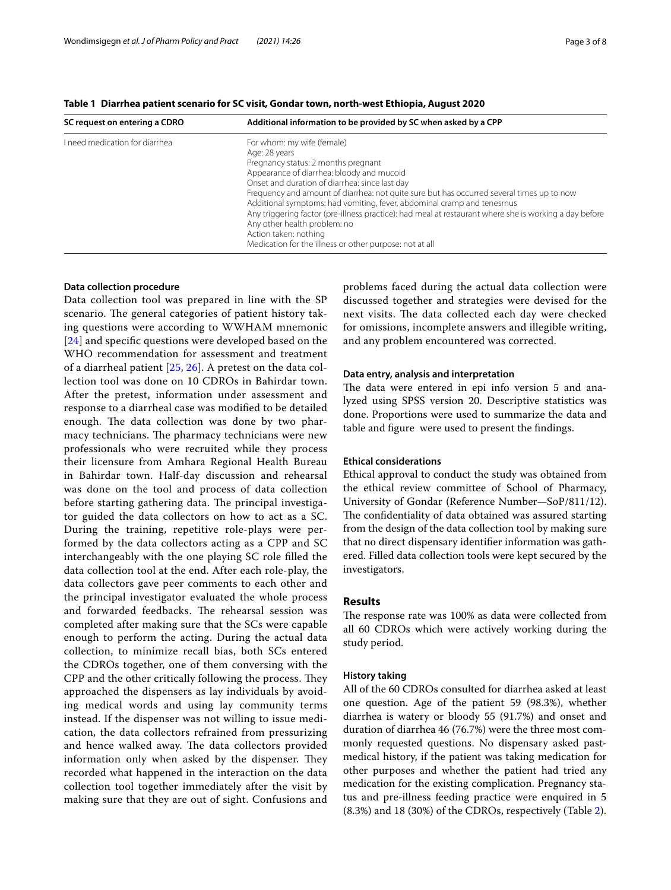<span id="page-2-0"></span>**Table 1 Diarrhea patient scenario for SC visit, Gondar town, north-west Ethiopia, August 2020**

| SC request on entering a CDRO  | Additional information to be provided by SC when asked by a CPP                                                                                                                                                            |
|--------------------------------|----------------------------------------------------------------------------------------------------------------------------------------------------------------------------------------------------------------------------|
| I need medication for diarrhea | For whom: my wife (female)                                                                                                                                                                                                 |
|                                | Age: 28 years                                                                                                                                                                                                              |
|                                | Pregnancy status: 2 months pregnant                                                                                                                                                                                        |
|                                | Appearance of diarrhea: bloody and mucoid                                                                                                                                                                                  |
|                                | Onset and duration of diarrhea: since last day                                                                                                                                                                             |
|                                | Frequency and amount of diarrhea: not quite sure but has occurred several times up to now                                                                                                                                  |
|                                | Additional symptoms: had vomiting, fever, abdominal cramp and tenesmus                                                                                                                                                     |
|                                | Any triggering factor (pre-illness practice): had meal at restaurant where she is working a day before<br>Any other health problem: no<br>Action taken: nothing<br>Medication for the illness or other purpose: not at all |
|                                |                                                                                                                                                                                                                            |

## **Data collection procedure**

Data collection tool was prepared in line with the SP scenario. The general categories of patient history taking questions were according to WWHAM mnemonic [[24](#page-7-15)] and specific questions were developed based on the WHO recommendation for assessment and treatment of a diarrheal patient [\[25,](#page-7-16) [26\]](#page-7-17). A pretest on the data collection tool was done on 10 CDROs in Bahirdar town. After the pretest, information under assessment and response to a diarrheal case was modifed to be detailed enough. The data collection was done by two pharmacy technicians. The pharmacy technicians were new professionals who were recruited while they process their licensure from Amhara Regional Health Bureau in Bahirdar town. Half-day discussion and rehearsal was done on the tool and process of data collection before starting gathering data. The principal investigator guided the data collectors on how to act as a SC. During the training, repetitive role-plays were performed by the data collectors acting as a CPP and SC interchangeably with the one playing SC role flled the data collection tool at the end. After each role-play, the data collectors gave peer comments to each other and the principal investigator evaluated the whole process and forwarded feedbacks. The rehearsal session was completed after making sure that the SCs were capable enough to perform the acting. During the actual data collection, to minimize recall bias, both SCs entered the CDROs together, one of them conversing with the CPP and the other critically following the process. They approached the dispensers as lay individuals by avoiding medical words and using lay community terms instead. If the dispenser was not willing to issue medication, the data collectors refrained from pressurizing and hence walked away. The data collectors provided information only when asked by the dispenser. They recorded what happened in the interaction on the data collection tool together immediately after the visit by making sure that they are out of sight. Confusions and problems faced during the actual data collection were discussed together and strategies were devised for the next visits. The data collected each day were checked for omissions, incomplete answers and illegible writing, and any problem encountered was corrected.

## **Data entry, analysis and interpretation**

The data were entered in epi info version 5 and analyzed using SPSS version 20. Descriptive statistics was done. Proportions were used to summarize the data and table and fgure were used to present the fndings.

## **Ethical considerations**

Ethical approval to conduct the study was obtained from the ethical review committee of School of Pharmacy, University of Gondar (Reference Number—SoP/811/12). The confidentiality of data obtained was assured starting from the design of the data collection tool by making sure that no direct dispensary identifer information was gathered. Filled data collection tools were kept secured by the investigators.

## **Results**

The response rate was 100% as data were collected from all 60 CDROs which were actively working during the study period.

## **History taking**

All of the 60 CDROs consulted for diarrhea asked at least one question. Age of the patient 59 (98.3%), whether diarrhea is watery or bloody 55 (91.7%) and onset and duration of diarrhea 46 (76.7%) were the three most commonly requested questions. No dispensary asked pastmedical history, if the patient was taking medication for other purposes and whether the patient had tried any medication for the existing complication. Pregnancy status and pre-illness feeding practice were enquired in 5 (8.3%) and 18 (30%) of the CDROs, respectively (Table [2\)](#page-3-0).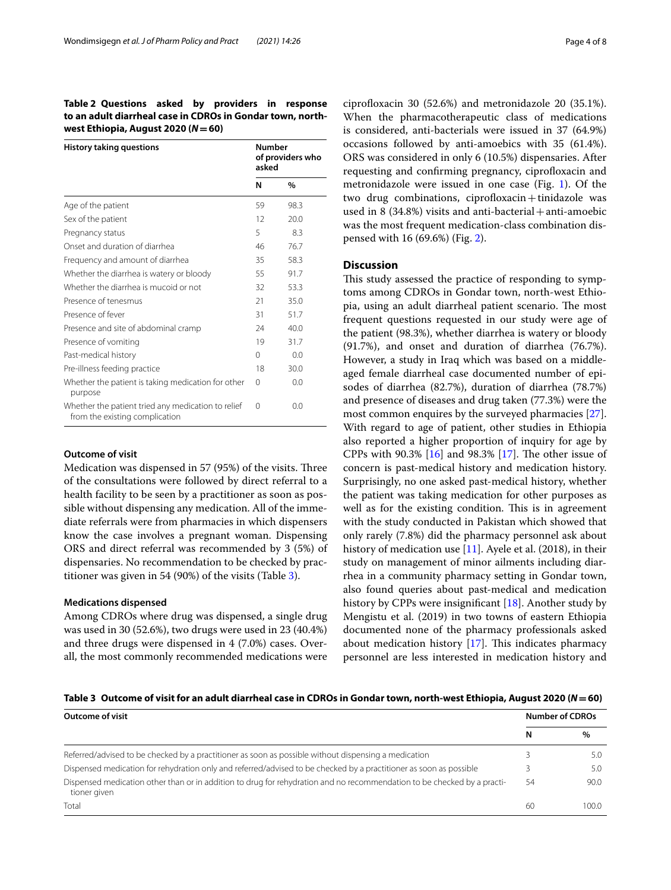<span id="page-3-0"></span>**Table 2 Questions asked by providers in response to an adult diarrheal case in CDROs in Gondar town, northwest Ethiopia, August 2020 (***N***=60)**

| <b>History taking questions</b>                                                      | Number<br>of providers who<br>asked |               |
|--------------------------------------------------------------------------------------|-------------------------------------|---------------|
|                                                                                      | N                                   | $\frac{0}{0}$ |
| Age of the patient                                                                   |                                     | 98.3          |
| Sex of the patient                                                                   |                                     | 20.0          |
| Pregnancy status                                                                     |                                     | 8.3           |
| Onset and duration of diarrhea                                                       | 46                                  | 76.7          |
| Frequency and amount of diarrhea                                                     | 35                                  | 58.3          |
| Whether the diarrhea is watery or bloody                                             | 55                                  | 91.7          |
| Whether the diarrhea is mucoid or not                                                |                                     | 53.3          |
| Presence of tenesmus                                                                 |                                     | 35.0          |
| Presence of fever                                                                    |                                     | 51.7          |
| Presence and site of abdominal cramp                                                 |                                     | 40.0          |
| Presence of vomiting                                                                 | 19                                  | 31.7          |
| Past-medical history                                                                 | $\Omega$                            | 0.0           |
| Pre-illness feeding practice                                                         |                                     | 30.0          |
| Whether the patient is taking medication for other<br>purpose                        |                                     | 0.0           |
| Whether the patient tried any medication to relief<br>from the existing complication |                                     | 0.0           |

## **Outcome of visit**

Medication was dispensed in 57 (95%) of the visits. Three of the consultations were followed by direct referral to a health facility to be seen by a practitioner as soon as possible without dispensing any medication. All of the immediate referrals were from pharmacies in which dispensers know the case involves a pregnant woman. Dispensing ORS and direct referral was recommended by 3 (5%) of dispensaries. No recommendation to be checked by practitioner was given in 54 (90%) of the visits (Table [3](#page-3-1)).

#### **Medications dispensed**

Among CDROs where drug was dispensed, a single drug was used in 30 (52.6%), two drugs were used in 23 (40.4%) and three drugs were dispensed in 4 (7.0%) cases. Overall, the most commonly recommended medications were

ciprofloxacin 30  $(52.6%)$  and metronidazole 20  $(35.1%).$ When the pharmacotherapeutic class of medications is considered, anti-bacterials were issued in 37 (64.9%) occasions followed by anti-amoebics with 35 (61.4%). ORS was considered in only 6 (10.5%) dispensaries. After requesting and confirming pregnancy, ciprofloxacin and metronidazole were issued in one case (Fig. [1](#page-4-0)). Of the two drug combinations, ciprofloxacin $+$ tinidazole was used in 8  $(34.8%)$  visits and anti-bacterial + anti-amoebic was the most frequent medication-class combination dispensed with 16 (69.6%) (Fig. [2\)](#page-5-0).

## **Discussion**

This study assessed the practice of responding to symptoms among CDROs in Gondar town, north-west Ethiopia, using an adult diarrheal patient scenario. The most frequent questions requested in our study were age of the patient (98.3%), whether diarrhea is watery or bloody (91.7%), and onset and duration of diarrhea (76.7%). However, a study in Iraq which was based on a middleaged female diarrheal case documented number of episodes of diarrhea (82.7%), duration of diarrhea (78.7%) and presence of diseases and drug taken (77.3%) were the most common enquires by the surveyed pharmacies [\[27](#page-7-18)]. With regard to age of patient, other studies in Ethiopia also reported a higher proportion of inquiry for age by CPPs with 90.3%  $[16]$  $[16]$  and 98.3%  $[17]$  $[17]$ . The other issue of concern is past-medical history and medication history. Surprisingly, no one asked past-medical history, whether the patient was taking medication for other purposes as well as for the existing condition. This is in agreement with the study conducted in Pakistan which showed that only rarely (7.8%) did the pharmacy personnel ask about history of medication use [\[11\]](#page-7-7). Ayele et al. (2018), in their study on management of minor ailments including diarrhea in a community pharmacy setting in Gondar town, also found queries about past-medical and medication history by CPPs were insignifcant [\[18\]](#page-7-20). Another study by Mengistu et al. (2019) in two towns of eastern Ethiopia documented none of the pharmacy professionals asked about medication history  $[17]$  $[17]$ . This indicates pharmacy personnel are less interested in medication history and

<span id="page-3-1"></span>**Table 3 Outcome of visit for an adult diarrheal case in CDROs in Gondar town, north-west Ethiopia, August 2020 (***N***=60)**

| <b>Outcome of visit</b>                                                                                                                 |    | <b>Number of CDROs</b> |  |
|-----------------------------------------------------------------------------------------------------------------------------------------|----|------------------------|--|
|                                                                                                                                         | N  | $\%$                   |  |
| Referred/advised to be checked by a practitioner as soon as possible without dispensing a medication                                    |    | 5.0                    |  |
| Dispensed medication for rehydration only and referred/advised to be checked by a practitioner as soon as possible                      |    | 5.0                    |  |
| Dispensed medication other than or in addition to drug for rehydration and no recommendation to be checked by a practi-<br>tioner given | 54 | 90.0                   |  |
| Total                                                                                                                                   | 60 | 100.0                  |  |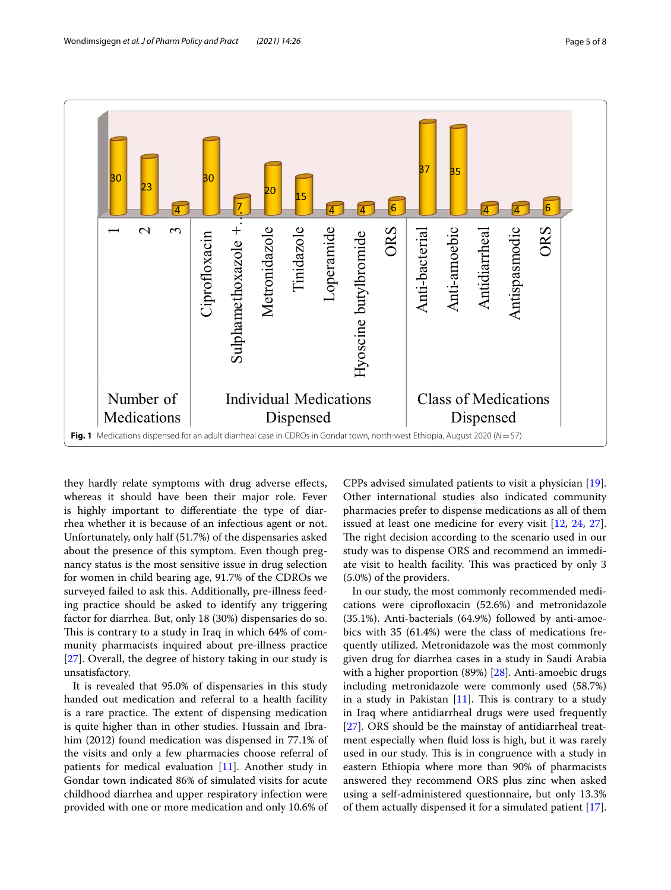

<span id="page-4-0"></span>they hardly relate symptoms with drug adverse effects, whereas it should have been their major role. Fever is highly important to diferentiate the type of diarrhea whether it is because of an infectious agent or not. Unfortunately, only half (51.7%) of the dispensaries asked about the presence of this symptom. Even though pregnancy status is the most sensitive issue in drug selection for women in child bearing age, 91.7% of the CDROs we surveyed failed to ask this. Additionally, pre-illness feeding practice should be asked to identify any triggering factor for diarrhea. But, only 18 (30%) dispensaries do so. This is contrary to a study in Iraq in which 64% of community pharmacists inquired about pre-illness practice [[27\]](#page-7-18). Overall, the degree of history taking in our study is unsatisfactory.

It is revealed that 95.0% of dispensaries in this study handed out medication and referral to a health facility is a rare practice. The extent of dispensing medication is quite higher than in other studies. Hussain and Ibrahim (2012) found medication was dispensed in 77.1% of the visits and only a few pharmacies choose referral of patients for medical evaluation [\[11](#page-7-7)]. Another study in Gondar town indicated 86% of simulated visits for acute childhood diarrhea and upper respiratory infection were provided with one or more medication and only 10.6% of

CPPs advised simulated patients to visit a physician [\[19](#page-7-11)]. Other international studies also indicated community pharmacies prefer to dispense medications as all of them issued at least one medicine for every visit [\[12,](#page-7-21) [24,](#page-7-15) [27](#page-7-18)]. The right decision according to the scenario used in our study was to dispense ORS and recommend an immediate visit to health facility. This was practiced by only 3 (5.0%) of the providers.

In our study, the most commonly recommended medications were ciprofloxacin (52.6%) and metronidazole (35.1%). Anti-bacterials (64.9%) followed by anti-amoebics with 35 (61.4%) were the class of medications frequently utilized. Metronidazole was the most commonly given drug for diarrhea cases in a study in Saudi Arabia with a higher proportion (89%) [[28](#page-7-22)]. Anti-amoebic drugs including metronidazole were commonly used (58.7%) in a study in Pakistan  $[11]$  $[11]$ . This is contrary to a study in Iraq where antidiarrheal drugs were used frequently [[27\]](#page-7-18). ORS should be the mainstay of antidiarrheal treatment especially when fuid loss is high, but it was rarely used in our study. This is in congruence with a study in eastern Ethiopia where more than 90% of pharmacists answered they recommend ORS plus zinc when asked using a self-administered questionnaire, but only 13.3% of them actually dispensed it for a simulated patient [\[17](#page-7-19)].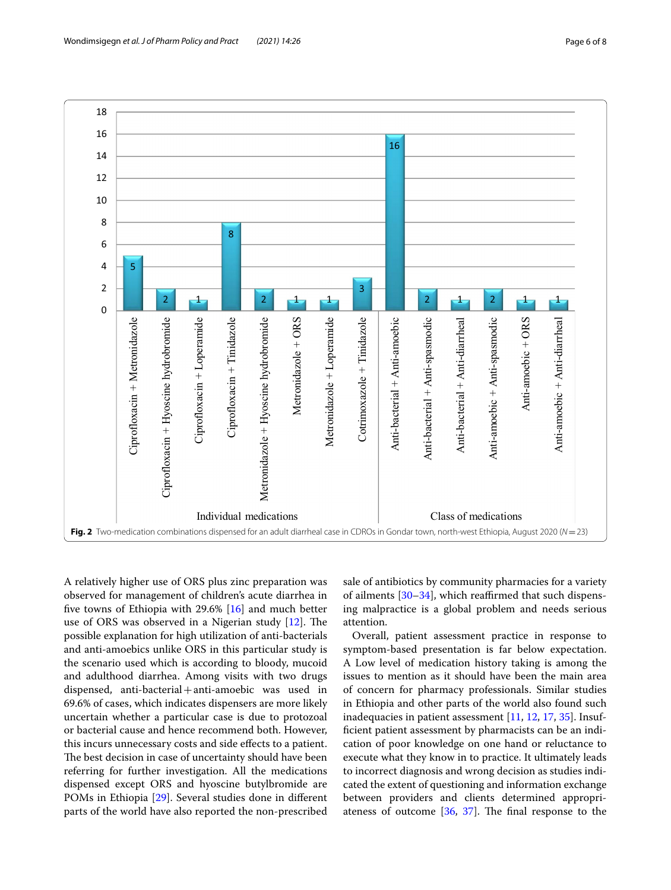

<span id="page-5-0"></span>A relatively higher use of ORS plus zinc preparation was observed for management of children's acute diarrhea in fve towns of Ethiopia with 29.6% [\[16](#page-7-10)] and much better use of ORS was observed in a Nigerian study  $[12]$  $[12]$ . The possible explanation for high utilization of anti-bacterials and anti-amoebics unlike ORS in this particular study is the scenario used which is according to bloody, mucoid and adulthood diarrhea. Among visits with two drugs dispensed, anti-bacterial+anti-amoebic was used in 69.6% of cases, which indicates dispensers are more likely uncertain whether a particular case is due to protozoal or bacterial cause and hence recommend both. However, this incurs unnecessary costs and side efects to a patient. The best decision in case of uncertainty should have been referring for further investigation. All the medications dispensed except ORS and hyoscine butylbromide are POMs in Ethiopia [\[29\]](#page-7-23). Several studies done in diferent parts of the world have also reported the non-prescribed

sale of antibiotics by community pharmacies for a variety of ailments  $[30-34]$  $[30-34]$ , which reaffirmed that such dispensing malpractice is a global problem and needs serious attention.

Overall, patient assessment practice in response to symptom-based presentation is far below expectation. A Low level of medication history taking is among the issues to mention as it should have been the main area of concern for pharmacy professionals. Similar studies in Ethiopia and other parts of the world also found such inadequacies in patient assessment [[11,](#page-7-7) [12](#page-7-21), [17,](#page-7-19) [35](#page-7-26)]. Insuffcient patient assessment by pharmacists can be an indication of poor knowledge on one hand or reluctance to execute what they know in to practice. It ultimately leads to incorrect diagnosis and wrong decision as studies indicated the extent of questioning and information exchange between providers and clients determined appropriateness of outcome  $[36, 37]$  $[36, 37]$  $[36, 37]$ . The final response to the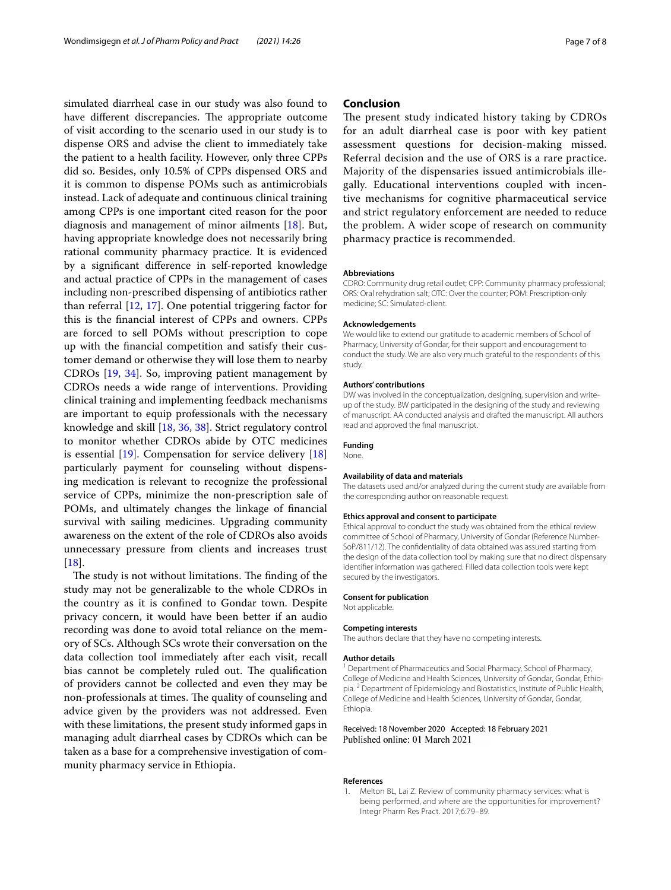simulated diarrheal case in our study was also found to have different discrepancies. The appropriate outcome of visit according to the scenario used in our study is to dispense ORS and advise the client to immediately take the patient to a health facility. However, only three CPPs did so. Besides, only 10.5% of CPPs dispensed ORS and it is common to dispense POMs such as antimicrobials instead. Lack of adequate and continuous clinical training among CPPs is one important cited reason for the poor diagnosis and management of minor ailments [[18\]](#page-7-20). But, having appropriate knowledge does not necessarily bring rational community pharmacy practice. It is evidenced by a signifcant diference in self-reported knowledge and actual practice of CPPs in the management of cases including non-prescribed dispensing of antibiotics rather than referral [[12](#page-7-21), [17\]](#page-7-19). One potential triggering factor for this is the fnancial interest of CPPs and owners. CPPs are forced to sell POMs without prescription to cope up with the fnancial competition and satisfy their customer demand or otherwise they will lose them to nearby CDROs [\[19,](#page-7-11) [34\]](#page-7-25). So, improving patient management by CDROs needs a wide range of interventions. Providing clinical training and implementing feedback mechanisms are important to equip professionals with the necessary knowledge and skill [[18](#page-7-20), [36](#page-7-27), [38\]](#page-7-29). Strict regulatory control to monitor whether CDROs abide by OTC medicines is essential [\[19](#page-7-11)]. Compensation for service delivery [[18](#page-7-20)] particularly payment for counseling without dispensing medication is relevant to recognize the professional service of CPPs, minimize the non-prescription sale of POMs, and ultimately changes the linkage of fnancial survival with sailing medicines. Upgrading community awareness on the extent of the role of CDROs also avoids unnecessary pressure from clients and increases trust  $[18]$  $[18]$ .

The study is not without limitations. The finding of the study may not be generalizable to the whole CDROs in the country as it is confned to Gondar town. Despite privacy concern, it would have been better if an audio recording was done to avoid total reliance on the memory of SCs. Although SCs wrote their conversation on the data collection tool immediately after each visit, recall bias cannot be completely ruled out. The qualification of providers cannot be collected and even they may be non-professionals at times. The quality of counseling and advice given by the providers was not addressed. Even with these limitations, the present study informed gaps in managing adult diarrheal cases by CDROs which can be taken as a base for a comprehensive investigation of community pharmacy service in Ethiopia.

## **Conclusion**

The present study indicated history taking by CDROs for an adult diarrheal case is poor with key patient assessment questions for decision-making missed. Referral decision and the use of ORS is a rare practice. Majority of the dispensaries issued antimicrobials illegally. Educational interventions coupled with incentive mechanisms for cognitive pharmaceutical service and strict regulatory enforcement are needed to reduce the problem. A wider scope of research on community pharmacy practice is recommended.

#### **Abbreviations**

CDRO: Community drug retail outlet; CPP: Community pharmacy professional; ORS: Oral rehydration salt; OTC: Over the counter; POM: Prescription-only medicine; SC: Simulated-client.

#### **Acknowledgements**

We would like to extend our gratitude to academic members of School of Pharmacy, University of Gondar, for their support and encouragement to conduct the study. We are also very much grateful to the respondents of this study.

#### **Authors' contributions**

DW was involved in the conceptualization, designing, supervision and writeup of the study. BW participated in the designing of the study and reviewing of manuscript. AA conducted analysis and drafted the manuscript. All authors read and approved the fnal manuscript.

#### **Funding**

None.

#### **Availability of data and materials**

The datasets used and/or analyzed during the current study are available from the corresponding author on reasonable request.

#### **Ethics approval and consent to participate**

Ethical approval to conduct the study was obtained from the ethical review committee of School of Pharmacy, University of Gondar (Reference Number-SoP/811/12). The confdentiality of data obtained was assured starting from the design of the data collection tool by making sure that no direct dispensary identifer information was gathered. Filled data collection tools were kept secured by the investigators.

#### **Consent for publication**

Not applicable.

#### **Competing interests**

The authors declare that they have no competing interests.

#### **Author details**

<sup>1</sup> Department of Pharmaceutics and Social Pharmacy, School of Pharmacy, College of Medicine and Health Sciences, University of Gondar, Gondar, Ethiopia. <sup>2</sup> Department of Epidemiology and Biostatistics, Institute of Public Health, College of Medicine and Health Sciences, University of Gondar, Gondar, Ethiopia.

#### Received: 18 November 2020 Accepted: 18 February 2021 Published online: 01 March 2021

#### **References**

<span id="page-6-0"></span>1. Melton BL, Lai Z. Review of community pharmacy services: what is being performed, and where are the opportunities for improvement? Integr Pharm Res Pract. 2017;6:79–89.